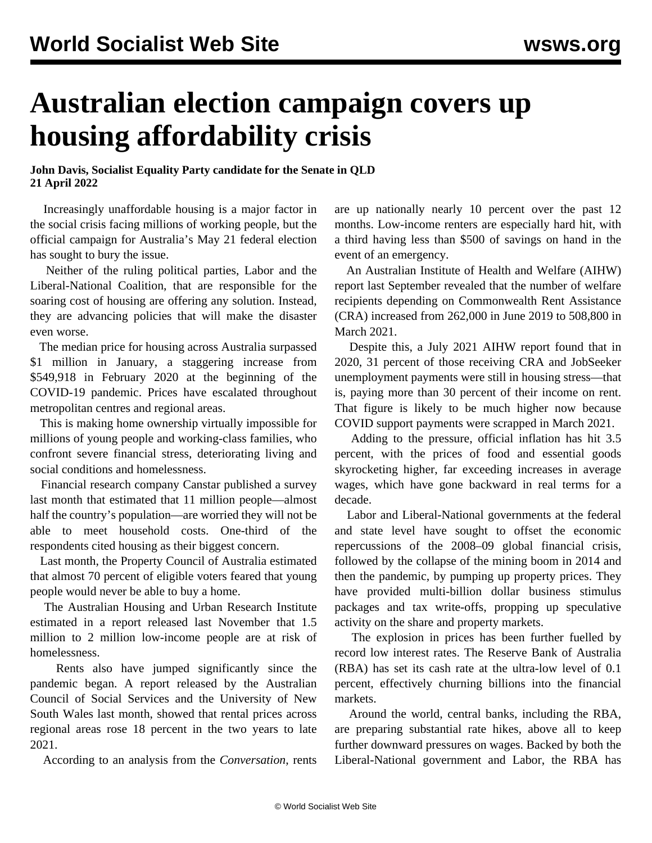## **Australian election campaign covers up housing affordability crisis**

## **John Davis, Socialist Equality Party candidate for the Senate in QLD 21 April 2022**

 Increasingly unaffordable housing is a major factor in the social crisis facing millions of working people, but the official campaign for Australia's May 21 federal election has sought to bury the issue.

 Neither of the ruling political parties, Labor and the Liberal-National Coalition, that are responsible for the soaring cost of housing are offering any solution. Instead, they are advancing policies that will make the disaster even worse.

 The median price for housing across Australia surpassed \$1 million in January, a staggering increase from \$549,918 in February 2020 at the beginning of the COVID-19 pandemic. Prices have escalated throughout metropolitan centres and regional areas.

 This is making home ownership virtually impossible for millions of young people and working-class families, who confront severe financial stress, deteriorating living and social conditions and homelessness.

 Financial research company Canstar published a survey last month that estimated that 11 million people—almost half the country's population—are worried they will not be able to meet household costs. One-third of the respondents cited housing as their biggest concern.

 Last month, the Property Council of Australia estimated that almost 70 percent of eligible voters feared that young people would never be able to buy a home.

 The Australian Housing and Urban Research Institute estimated in a report released last November that 1.5 million to 2 million low-income people are at risk of homelessness.

 Rents also have jumped significantly since the pandemic began. A report released by the Australian Council of Social Services and the University of New South Wales last month, showed that rental prices across regional areas rose 18 percent in the two years to late 2021.

According to an analysis from the *Conversation*, rents

are up nationally nearly 10 percent over the past 12 months. Low-income renters are especially hard hit, with a third having less than \$500 of savings on hand in the event of an emergency.

 An Australian Institute of Health and Welfare (AIHW) report last September revealed that the number of welfare recipients depending on Commonwealth Rent Assistance (CRA) increased from 262,000 in June 2019 to 508,800 in March 2021.

 Despite this, a July 2021 AIHW report found that in 2020, 31 percent of those receiving CRA and JobSeeker unemployment payments were still in housing stress—that is, paying more than 30 percent of their income on rent. That figure is likely to be much higher now because COVID support payments were scrapped in March 2021.

 Adding to the pressure, official inflation has hit 3.5 percent, with the prices of food and essential goods skyrocketing higher, far exceeding increases in average wages, which have gone backward in real terms for a decade.

 Labor and Liberal-National governments at the federal and state level have sought to offset the economic repercussions of the 2008–09 global financial crisis, followed by the collapse of the mining boom in 2014 and then the pandemic, by pumping up property prices. They have provided multi-billion dollar business stimulus packages and tax write-offs, propping up speculative activity on the share and property markets.

 The explosion in prices has been further fuelled by record low interest rates. The Reserve Bank of Australia (RBA) has set its cash rate at the ultra-low level of 0.1 percent, effectively churning billions into the financial markets.

 Around the world, central banks, including the RBA, are preparing substantial rate hikes, above all to keep further downward pressures on wages. Backed by both the Liberal-National government and Labor, the RBA has